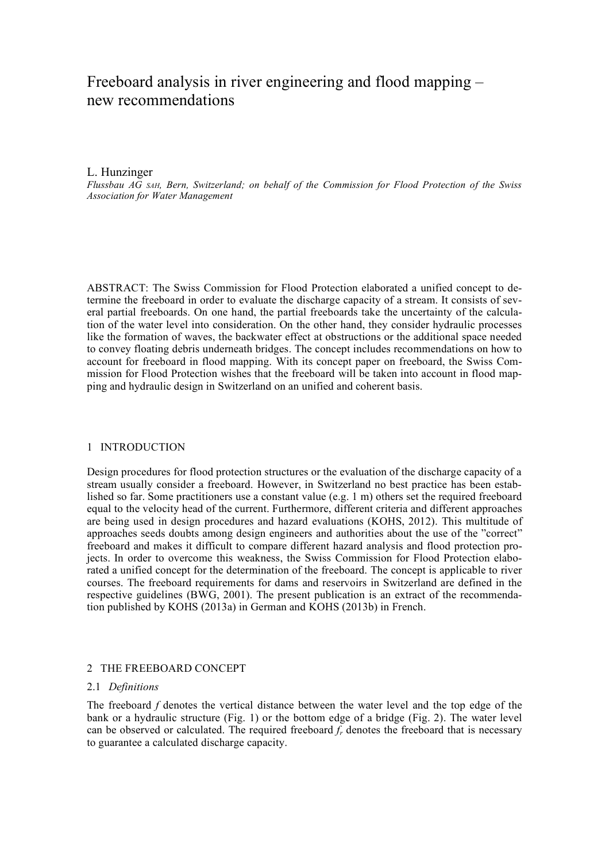# Freeboard analysis in river engineering and flood mapping – new recommendations

# L. Hunzinger

*Flussbau AG SAH, Bern, Switzerland; on behalf of the Commission for Flood Protection of the Swiss Association for Water Management* 

ABSTRACT: The Swiss Commission for Flood Protection elaborated a unified concept to determine the freeboard in order to evaluate the discharge capacity of a stream. It consists of several partial freeboards. On one hand, the partial freeboards take the uncertainty of the calculation of the water level into consideration. On the other hand, they consider hydraulic processes like the formation of waves, the backwater effect at obstructions or the additional space needed to convey floating debris underneath bridges. The concept includes recommendations on how to account for freeboard in flood mapping. With its concept paper on freeboard, the Swiss Commission for Flood Protection wishes that the freeboard will be taken into account in flood mapping and hydraulic design in Switzerland on an unified and coherent basis.

# 1 INTRODUCTION

Design procedures for flood protection structures or the evaluation of the discharge capacity of a stream usually consider a freeboard. However, in Switzerland no best practice has been established so far. Some practitioners use a constant value (e.g. 1 m) others set the required freeboard equal to the velocity head of the current. Furthermore, different criteria and different approaches are being used in design procedures and hazard evaluations (KOHS, 2012). This multitude of approaches seeds doubts among design engineers and authorities about the use of the "correct" freeboard and makes it difficult to compare different hazard analysis and flood protection projects. In order to overcome this weakness, the Swiss Commission for Flood Protection elaborated a unified concept for the determination of the freeboard. The concept is applicable to river courses. The freeboard requirements for dams and reservoirs in Switzerland are defined in the respective guidelines (BWG, 2001). The present publication is an extract of the recommendation published by KOHS (2013a) in German and KOHS (2013b) in French.

# 2 THE FREEBOARD CONCEPT

# 2.1 *Definitions*

The freeboard *f* denotes the vertical distance between the water level and the top edge of the bank or a hydraulic structure (Fig. 1) or the bottom edge of a bridge (Fig. 2). The water level can be observed or calculated. The required freeboard  $f_r$  denotes the freeboard that is necessary to guarantee a calculated discharge capacity.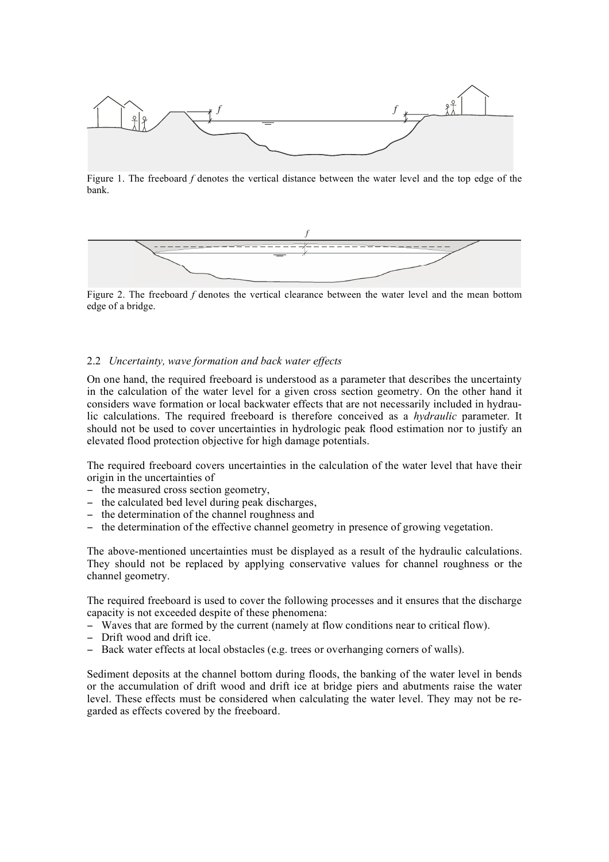

Figure 1. The freeboard *f* denotes the vertical distance between the water level and the top edge of the bank.



Figure 2. The freeboard *f* denotes the vertical clearance between the water level and the mean bottom edge of a bridge.

# 2.2 *Uncertainty, wave formation and back water effects*

On one hand, the required freeboard is understood as a parameter that describes the uncertainty in the calculation of the water level for a given cross section geometry. On the other hand it considers wave formation or local backwater effects that are not necessarily included in hydraulic calculations. The required freeboard is therefore conceived as a *hydraulic* parameter. It should not be used to cover uncertainties in hydrologic peak flood estimation nor to justify an elevated flood protection objective for high damage potentials.

The required freeboard covers uncertainties in the calculation of the water level that have their origin in the uncertainties of

- the measured cross section geometry,
- the calculated bed level during peak discharges,
- the determination of the channel roughness and
- the determination of the effective channel geometry in presence of growing vegetation.

The above-mentioned uncertainties must be displayed as a result of the hydraulic calculations. They should not be replaced by applying conservative values for channel roughness or the channel geometry.

The required freeboard is used to cover the following processes and it ensures that the discharge capacity is not exceeded despite of these phenomena:

- Waves that are formed by the current (namely at flow conditions near to critical flow).
- Drift wood and drift ice.
- Back water effects at local obstacles (e.g. trees or overhanging corners of walls).

Sediment deposits at the channel bottom during floods, the banking of the water level in bends or the accumulation of drift wood and drift ice at bridge piers and abutments raise the water level. These effects must be considered when calculating the water level. They may not be regarded as effects covered by the freeboard.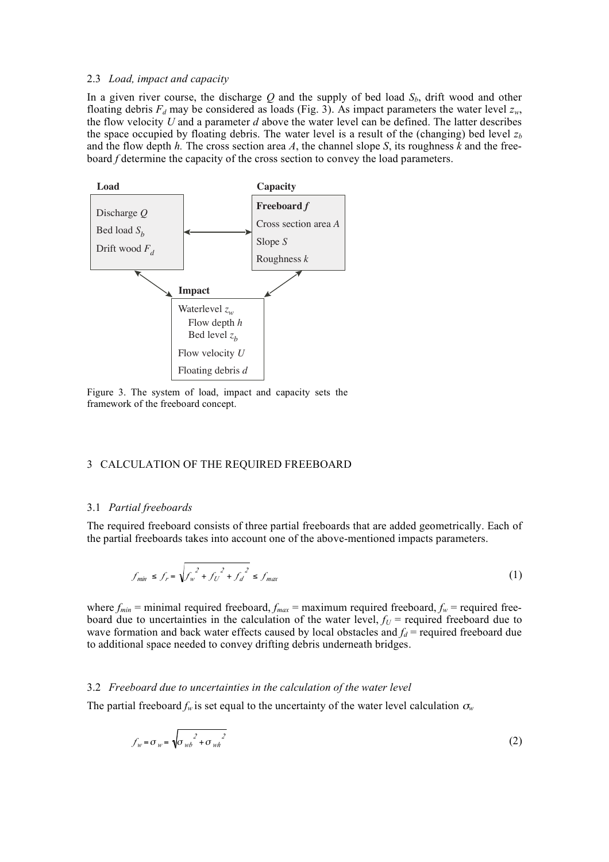### 2.3 *Load, impact and capacity*

In a given river course, the discharge  $Q$  and the supply of bed load  $S_b$ , drift wood and other floating debris  $F_d$  may be considered as loads (Fig. 3). As impact parameters the water level  $z_w$ , the flow velocity *U* and a parameter *d* above the water level can be defined. The latter describes the space occupied by floating debris. The water level is a result of the (changing) bed level  $z<sub>b</sub>$ and the flow depth *h.* The cross section area *A*, the channel slope *S*, its roughness *k* and the freeboard *f* determine the capacity of the cross section to convey the load parameters.



Figure 3. The system of load, impact and capacity sets the framework of the freeboard concept.

# 3 CALCULATION OF THE REQUIRED FREEBOARD

#### 3.1 *Partial freeboards*

The required freeboard consists of three partial freeboards that are added geometrically. Each of the partial freeboards takes into account one of the above-mentioned impacts parameters.

$$
f_{min} \le f_r = \sqrt{f_w^2 + f_U^2 + f_d^2} \le f_{max}
$$
 (1)

where  $f_{min}$  = minimal required freeboard,  $f_{max}$  = maximum required freeboard,  $f_w$  = required freeboard due to uncertainties in the calculation of the water level,  $f_U$  = required freeboard due to wave formation and back water effects caused by local obstacles and  $f_d$  = required freeboard due to additional space needed to convey drifting debris underneath bridges.

# 3.2 *Freeboard due to uncertainties in the calculation of the water level*

The partial freeboard  $f_w$  is set equal to the uncertainty of the water level calculation  $\sigma_w$ 

$$
f_w = \sigma_w = \sqrt{\sigma_{wb}^2 + \sigma_{wh}^2}
$$
 (2)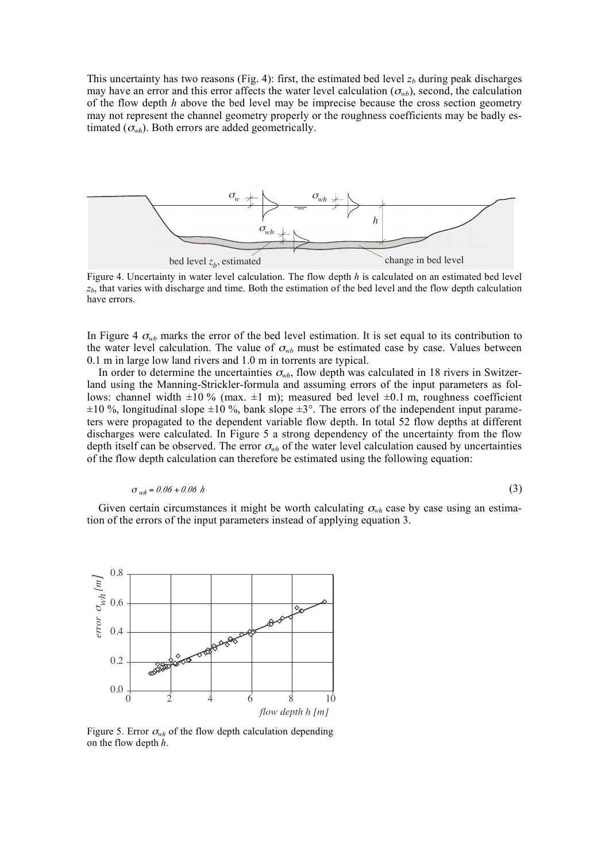This uncertainty has two reasons (Fig. 4): first, the estimated bed level  $z<sub>b</sub>$  during peak discharges may have an error and this error affects the water level calculation  $(\sigma_{wb})$ , second, the calculation of the flow depth *h* above the bed level may be imprecise because the cross section geometry may not represent the channel geometry properly or the roughness coefficients may be badly estimated  $(\sigma_{wh})$ . Both errors are added geometrically.



Figure 4. Uncertainty in water level calculation. The flow depth *h* is calculated on an estimated bed level  $z<sub>b</sub>$ , that varies with discharge and time. Both the estimation of the bed level and the flow depth calculation have errors.

In Figure 4  $\sigma_{wb}$  marks the error of the bed level estimation. It is set equal to its contribution to the water level calculation. The value of  $\sigma_{wb}$  must be estimated case by case. Values between 0.1 m in large low land rivers and 1.0 m in torrents are typical.

In order to determine the uncertainties  $\sigma_{wh}$ , flow depth was calculated in 18 rivers in Switzerland using the Manning-Strickler-formula and assuming errors of the input parameters as follows: channel width  $\pm 10\%$  (max.  $\pm 1$  m); measured bed level  $\pm 0.1$  m, roughness coefficient  $\pm 10$  %, longitudinal slope  $\pm 10$  %, bank slope  $\pm 3^{\circ}$ . The errors of the independent input parameters were propagated to the dependent variable flow depth. In total 52 flow depths at different discharges were calculated. In Figure 5 a strong dependency of the uncertainty from the flow depth itself can be observed. The error  $\sigma_{wh}$  of the water level calculation caused by uncertainties of the flow depth calculation can therefore be estimated using the following equation:

$$
\sigma_{wh} = 0.06 + 0.06 \ h \tag{3}
$$

Given certain circumstances it might be worth calculating  $\sigma_{wh}$  case by case using an estimation of the errors of the input parameters instead of applying equation 3.



Figure 5. Error  $\sigma_{wh}$  of the flow depth calculation depending on the flow depth *h*.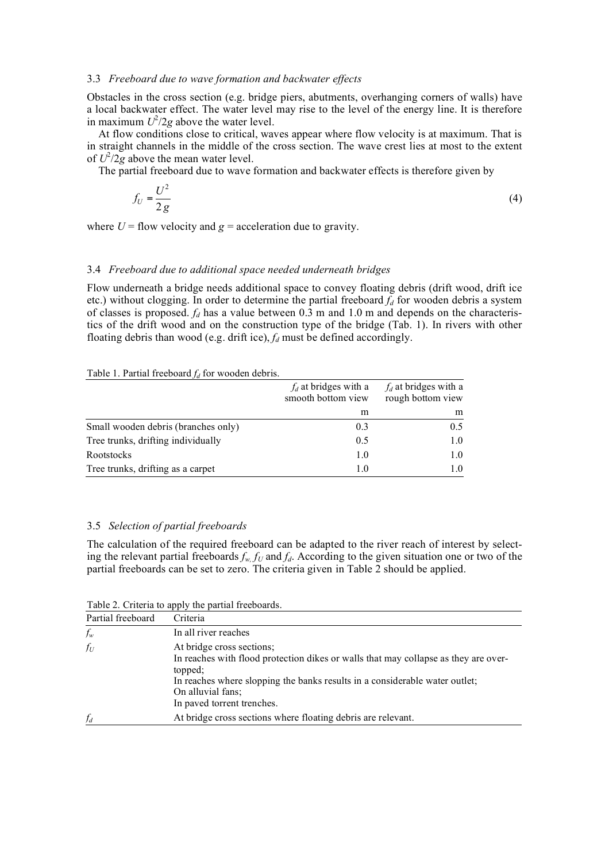### 3.3 *Freeboard due to wave formation and backwater effects*

Obstacles in the cross section (e.g. bridge piers, abutments, overhanging corners of walls) have a local backwater effect. The water level may rise to the level of the energy line. It is therefore in maximum  $U^2/2g$  above the water level.

At flow conditions close to critical, waves appear where flow velocity is at maximum. That is in straight channels in the middle of the cross section. The wave crest lies at most to the extent of  $U^2/2g$  above the mean water level.

The partial freeboard due to wave formation and backwater effects is therefore given by

$$
f_U = \frac{U^2}{2g} \tag{4}
$$

where  $U =$  flow velocity and  $g =$  acceleration due to gravity.

# 3.4 *Freeboard due to additional space needed underneath bridges*

Flow underneath a bridge needs additional space to convey floating debris (drift wood, drift ice etc.) without clogging. In order to determine the partial freeboard  $f<sub>d</sub>$  for wooden debris a system of classes is proposed.  $f_d$  has a value between 0.3 m and 1.0 m and depends on the characteristics of the drift wood and on the construction type of the bridge (Tab. 1). In rivers with other floating debris than wood (e.g. drift ice),  $f_d$  must be defined accordingly.

#### Table 1. Partial freeboard  $f_d$  for wooden debris.

|                                     | $f_d$ at bridges with a<br>smooth bottom view | $f_d$ at bridges with a<br>rough bottom view |
|-------------------------------------|-----------------------------------------------|----------------------------------------------|
|                                     | m                                             | m                                            |
| Small wooden debris (branches only) | 0.3                                           | 0.5                                          |
| Tree trunks, drifting individually  | 0.5                                           | 1.0                                          |
| <b>Rootstocks</b>                   | 1.0                                           | 1.0                                          |
| Tree trunks, drifting as a carpet   | 1.0                                           | 1.0                                          |

# 3.5 *Selection of partial freeboards*

The calculation of the required freeboard can be adapted to the river reach of interest by selecting the relevant partial freeboards  $f_w$ ,  $f_U$  and  $f_d$ . According to the given situation one or two of the partial freeboards can be set to zero. The criteria given in Table 2 should be applied.

Table 2. Criteria to apply the partial freeboards.

| Partial freeboard | Criteria                                                                                                                                                                                                                                                      |
|-------------------|---------------------------------------------------------------------------------------------------------------------------------------------------------------------------------------------------------------------------------------------------------------|
| $f_w$             | In all river reaches                                                                                                                                                                                                                                          |
| $f_U$             | At bridge cross sections;<br>In reaches with flood protection dikes or walls that may collapse as they are over-<br>topped;<br>In reaches where slopping the banks results in a considerable water outlet;<br>On alluvial fans:<br>In paved torrent trenches. |
| $f_d$             | At bridge cross sections where floating debris are relevant.                                                                                                                                                                                                  |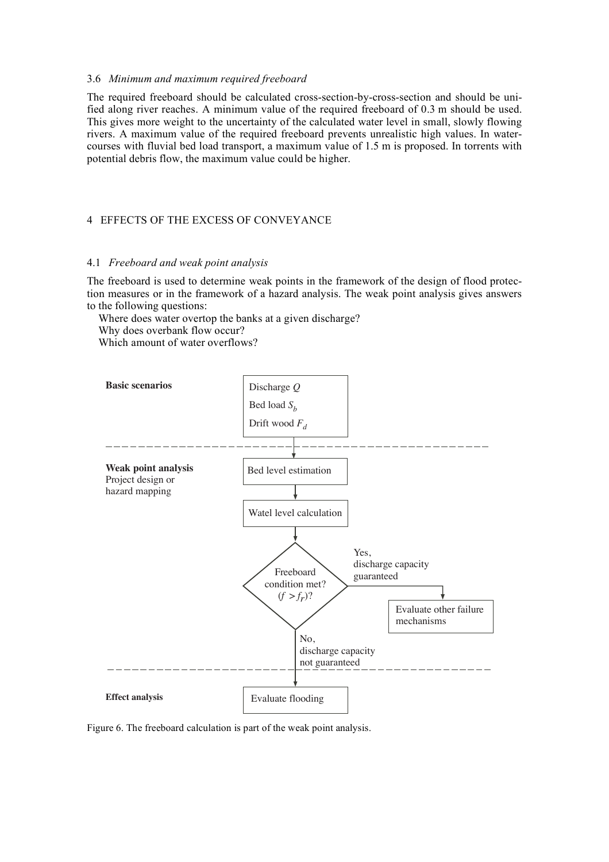# 3.6 *Minimum and maximum required freeboard*

The required freeboard should be calculated cross-section-by-cross-section and should be unified along river reaches. A minimum value of the required freeboard of 0.3 m should be used. This gives more weight to the uncertainty of the calculated water level in small, slowly flowing rivers. A maximum value of the required freeboard prevents unrealistic high values. In watercourses with fluvial bed load transport, a maximum value of 1.5 m is proposed. In torrents with potential debris flow, the maximum value could be higher.

# 4 EFFECTS OF THE EXCESS OF CONVEYANCE

### 4.1 *Freeboard and weak point analysis*

The freeboard is used to determine weak points in the framework of the design of flood protection measures or in the framework of a hazard analysis. The weak point analysis gives answers to the following questions:

Where does water overtop the banks at a given discharge? Why does overbank flow occur?

Which amount of water overflows?



Figure 6. The freeboard calculation is part of the weak point analysis.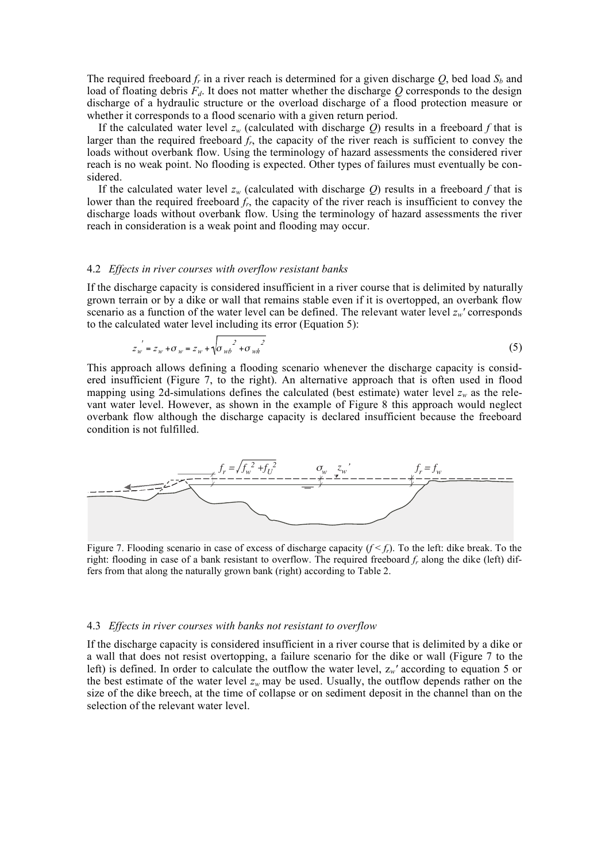The required freeboard  $f_r$  in a river reach is determined for a given discharge  $Q$ , bed load  $S_b$  and load of floating debris  $F_d$ . It does not matter whether the discharge  $Q$  corresponds to the design discharge of a hydraulic structure or the overload discharge of a flood protection measure or whether it corresponds to a flood scenario with a given return period.

If the calculated water level  $z_w$  (calculated with discharge  $Q$ ) results in a freeboard  $f$  that is larger than the required freeboard *fr*, the capacity of the river reach is sufficient to convey the loads without overbank flow. Using the terminology of hazard assessments the considered river reach is no weak point. No flooding is expected. Other types of failures must eventually be considered.

If the calculated water level  $z_w$  (calculated with discharge *Q*) results in a freeboard *f* that is lower than the required freeboard  $f_r$ , the capacity of the river reach is insufficient to convey the discharge loads without overbank flow. Using the terminology of hazard assessments the river reach in consideration is a weak point and flooding may occur.

#### 4.2 *Effects in river courses with overflow resistant banks*

If the discharge capacity is considered insufficient in a river course that is delimited by naturally grown terrain or by a dike or wall that remains stable even if it is overtopped, an overbank flow scenario as a function of the water level can be defined. The relevant water level  $z_w$ ' corresponds to the calculated water level including its error (Equation 5):

$$
z_w' = z_w + \sigma_w = z_w + \sqrt{\sigma_{wb}^2 + \sigma_{wb}^2}
$$
 (5)

This approach allows defining a flooding scenario whenever the discharge capacity is considered insufficient (Figure 7, to the right). An alternative approach that is often used in flood mapping using 2d-simulations defines the calculated (best estimate) water level  $z_w$  as the relevant water level. However, as shown in the example of Figure 8 this approach would neglect overbank flow although the discharge capacity is declared insufficient because the freeboard condition is not fulfilled.



Figure 7. Flooding scenario in case of excess of discharge capacity  $(f < f_r)$ . To the left: dike break. To the right: flooding in case of a bank resistant to overflow. The required freeboard *fr* along the dike (left) differs from that along the naturally grown bank (right) according to Table 2.

#### 4.3 *Effects in river courses with banks not resistant to overflow*

If the discharge capacity is considered insufficient in a river course that is delimited by a dike or a wall that does not resist overtopping, a failure scenario for the dike or wall (Figure 7 to the left) is defined. In order to calculate the outflow the water level, z*w'* according to equation 5 or the best estimate of the water level  $z_w$  may be used. Usually, the outflow depends rather on the size of the dike breech, at the time of collapse or on sediment deposit in the channel than on the selection of the relevant water level.